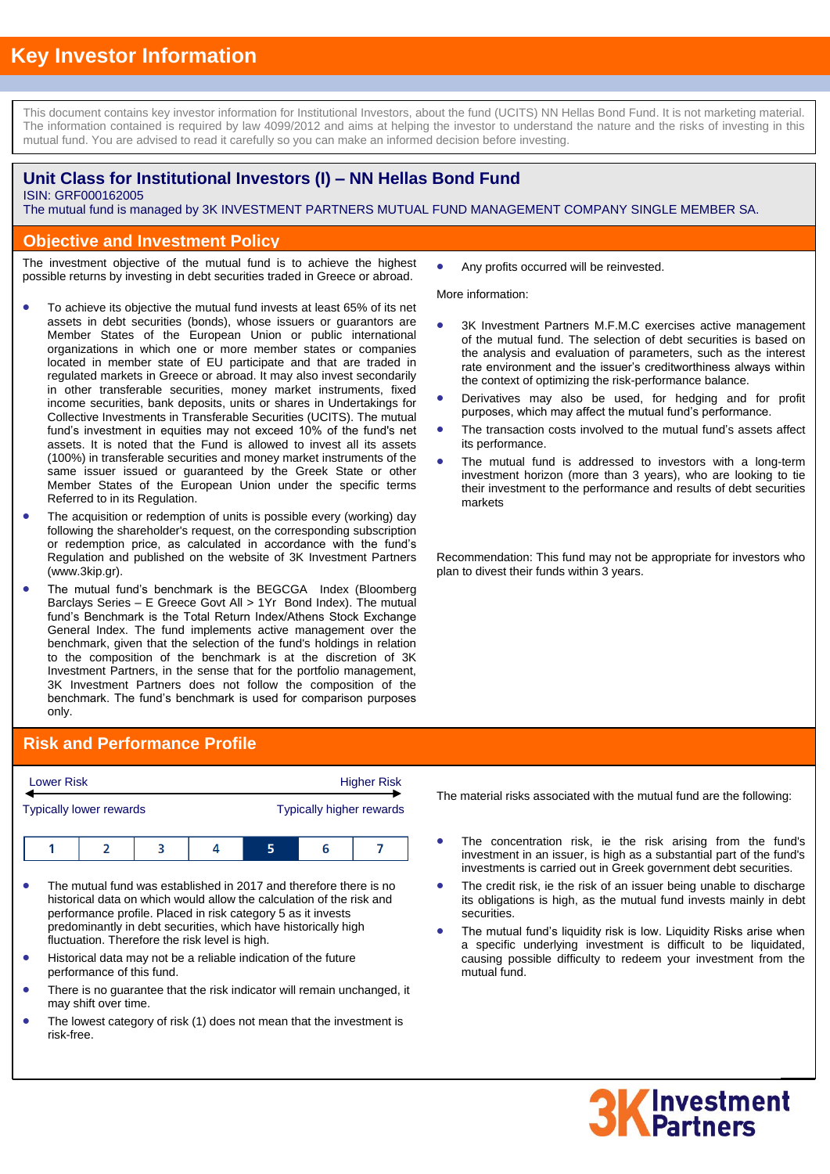This document contains key investor information for Institutional Investors, about the fund (UCITS) NN Hellas Bond Fund. It is not marketing material. The information contained is required by law 4099/2012 and aims at helping the investor to understand the nature and the risks of investing in this mutual fund. You are advised to read it carefully so you can make an informed decision before investing.

## **Unit Class for Institutional Investors (I) – NN Hellas Bond Fund**

ISIN: GRF000162005

.

The mutual fund is managed by 3K INVESTMENT PARTNERS MUTUAL FUND MANAGEMENT COMPANY SINGLE MEMBER SA.

### **Objective and Investment Policy**

The investment objective of the mutual fund is to achieve the highest possible returns by investing in debt securities traded in Greece or abroad.

- To achieve its objective the mutual fund invests at least 65% of its net assets in debt securities (bonds), whose issuers or guarantors are Member States of the European Union or public international organizations in which one or more member states or companies located in member state of EU participate and that are traded in regulated markets in Greece or abroad. It may also invest secondarily in other transferable securities, money market instruments, fixed income securities, bank deposits, units or shares in Undertakings for Collective Investments in Transferable Securities (UCITS). The mutual fund's investment in equities may not exceed 10% of the fund's net assets. It is noted that the Fund is allowed to invest all its assets (100%) in transferable securities and money market instruments of the same issuer issued or guaranteed by the Greek State or other Member States of the European Union under the specific terms Referred to in its Regulation.
- The acquisition or redemption of units is possible every (working) day following the shareholder's request, on the corresponding subscription or redemption price, as calculated in accordance with the fund's Regulation and published on the website of 3K Investment Partners (www.3kip.gr).
- The mutual fund's benchmark is the BEGCGA Index (Bloomberg Barclays Series – E Greece Govt All > 1Yr Bond Index). The mutual fund's Benchmark is the Total Return Index/Athens Stock Exchange General Index. The fund implements active management over the benchmark, given that the selection of the fund's holdings in relation to the composition of the benchmark is at the discretion of 3K Investment Partners, in the sense that for the portfolio management, 3K Investment Partners does not follow the composition of the benchmark. The fund's benchmark is used for comparison purposes only.

# **Risk and Performance Profile**

| <b>Lower Risk</b> |                                |  | <b>Higher Risk</b>              |  |    |  |
|-------------------|--------------------------------|--|---------------------------------|--|----|--|
|                   | <b>Typically lower rewards</b> |  | <b>Typically higher rewards</b> |  |    |  |
|                   |                                |  |                                 |  | 'n |  |

- The mutual fund was established in 2017 and therefore there is no historical data on which would allow the calculation of the risk and performance profile. Placed in risk category 5 as it invests predominantly in debt securities, which have historically high fluctuation. Therefore the risk level is high.
- Historical data may not be a reliable indication of the future performance of this fund.
- There is no guarantee that the risk indicator will remain unchanged, it may shift over time.
- The lowest category of risk (1) does not mean that the investment is risk-free.

Any profits occurred will be reinvested.

More information:

- 3K Investment Partners M.F.M.C exercises active management of the mutual fund. The selection of debt securities is based on the analysis and evaluation of parameters, such as the interest rate environment and the issuer's creditworthiness always within the context of optimizing the risk-performance balance.
- Derivatives may also be used, for hedging and for profit purposes, which may affect the mutual fund's performance.
- The transaction costs involved to the mutual fund's assets affect its performance.
- The mutual fund is addressed to investors with a long-term investment horizon (more than 3 years), who are looking to tie their investment to the performance and results of debt securities markets

Recommendation: This fund may not be appropriate for investors who plan to divest their funds within 3 years.

The material risks associated with the mutual fund are the following:

- The concentration risk, ie the risk arising from the fund's investment in an issuer, is high as a substantial part of the fund's investments is carried out in Greek government debt securities.
- The credit risk, ie the risk of an issuer being unable to discharge its obligations is high, as the mutual fund invests mainly in debt securities.
- The mutual fund's liquidity risk is low. Liquidity Risks arise when a specific underlying investment is difficult to be liquidated, causing possible difficulty to redeem your investment from the mutual fund.

# **3K** Investment